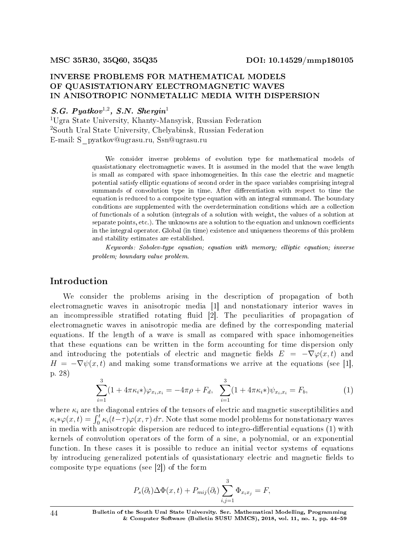# INVERSE PROBLEMS FOR MATHEMATICAL MODELS OF QUASISTATIONARY ELECTROMAGNETIC WAVES IN ANISOTROPIC NONMETALLIC MEDIA WITH DISPERSION

# $S.G. Pyatkov<sup>1,2</sup>, S.N. Shergin<sup>1</sup>$

<sup>1</sup>Ugra State University, Khanty-Mansyisk, Russian Federation <sup>2</sup>South Ural State University, Chelyabinsk, Russian Federation E-mail: S\_pyatkov@ugrasu.ru, Ssn@ugrasu.ru

> We consider inverse problems of evolution type for mathematical models of quasistationary electromagnetic waves. It is assumed in the model that the wave length is small as compared with space inhomogeneities. In this case the electric and magnetic potential satisfy elliptic equations of second order in the space variables comprising integral summands of convolution type in time. After differentiation with respect to time the equation is reduced to a composite type equation with an integral summand. The boundary conditions are supplemented with the overdetermination conditions which are a collection of functionals of a solution (integrals of a solution with weight, the values of a solution at separate points, etc.). The unknowns are a solution to the equation and unknown coefficients in the integral operator. Global (in time) existence and uniqueness theorems of this problem and stability estimates are established.

> Keywords: Sobolev-type equation; equation with memory; elliptic equation; inverse problem; boundary value problem.

## Introduction

We consider the problems arising in the description of propagation of both electromagnetic waves in anisotropic media [1] and nonstationary interior waves in an incompressible stratified rotating fluid  $[2]$ . The peculiarities of propagation of electromagnetic waves in anisotropic media are defined by the corresponding material equations. If the length of a wave is small as compared with space inhomogeneities that these equations can be written in the form accounting for time dispersion only and introducing the potentials of electric and magnetic fields  $E = -\nabla \varphi(x, t)$  and  $H = -\nabla \psi(x, t)$  and making some transformations we arrive at the equations (see [1], p. 28)

$$
\sum_{i=1}^{3} (1 + 4\pi \kappa_i *) \varphi_{x_i, x_i} = -4\pi \rho + F_d, \quad \sum_{i=1}^{3} (1 + 4\pi \kappa_i *) \psi_{x_i, x_i} = F_b,
$$
 (1)

where  $\kappa_i$  are the diagonal entries of the tensors of electric and magnetic susceptibilities and  $\kappa_i * \varphi(x,t) = \int_0^t \kappa_i(t-\tau) \varphi(x,\tau) d\tau$ . Note that some model problems for nonstationary waves in media with anisotropic dispersion are reduced to integro-differential equations  $(1)$  with kernels of convolution operators of the form of a sine, a polynomial, or an exponential function. In these cases it is possible to reduce an initial vector systems of equations by introducing generalized potentials of quasistationary electric and magnetic fields to composite type equations (see [2]) of the form

$$
P_s(\partial_t)\Delta\Phi(x,t) + P_{mij}(\partial_t)\sum_{i,j=1}^3 \Phi_{x_ix_j} = F,
$$

44 Bulletin of the South Ural State University. Ser. Mathematical Modelling, Programming & Computer Software (Bulletin SUSU MMCS), 2018, vol. 11, no. 1, pp. 4459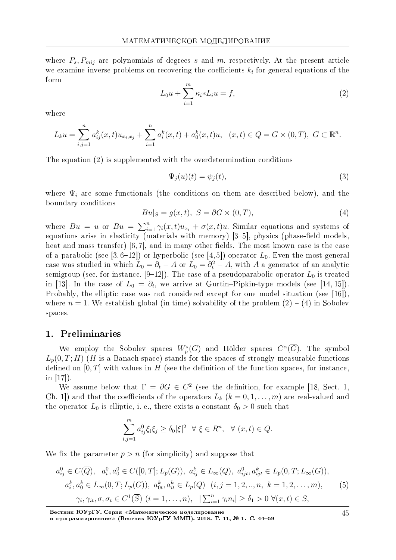where  $P_s, P_{mij}$  are polynomials of degrees s and m, respectively. At the present article we examine inverse problems on recovering the coefficients  $k_i$  for general equations of the form

$$
L_0 u + \sum_{i=1}^m \kappa_i * L_i u = f,\tag{2}
$$

where

$$
L_k u = \sum_{i,j=1}^n a_{ij}^k(x,t) u_{x_i,x_j} + \sum_{i=1}^n a_i^k(x,t) + a_0^k(x,t) u, \quad (x,t) \in Q = G \times (0,T), \ G \subset \mathbb{R}^n.
$$

The equation  $(2)$  is supplemented with the overdetermination conditions

$$
\Psi_j(u)(t) = \psi_j(t),\tag{3}
$$

where  $\Psi_i$  are some functionals (the conditions on them are described below), and the boundary conditions

$$
Bu|_S = g(x, t), \ S = \partial G \times (0, T), \tag{4}
$$

where  $Bu = u$  or  $Bu = \sum_{i=1}^{n} \gamma_i(x,t) u_{x_i} + \sigma(x,t)u$ . Similar equations and systems of equations arise in elasticity (materials with memory) [3-5], physics (phase-field models. heat and mass transfer)  $[6, 7]$ , and in many other fields. The most known case is the case of a parabolic (see [3,6-12]) or hyperbolic (see [4,5]) operator  $L_0$ . Even the most general case was studied in which  $L_0 = \partial_t - A$  or  $L_0 = \partial_t^2 - A$ , with A a generator of an analytic semigroup (see, for instance, [9-12]). The case of a pseudoparabolic operator  $L_0$  is treated in [13]. In the case of  $L_0 = \partial_t$ , we arrive at Gurtin-Pipkin-type models (see [14, 15]). Probably, the elliptic case was not considered except for one model situation (see [16]). where  $n = 1$ . We establish global (in time) solvability of the problem  $(2) - (4)$  in Sobolev spaces.

#### 1. Preliminaries

We employ the Sobolev spaces  $W_p^s(G)$  and Hölder spaces  $C^{\alpha}(\overline{G})$ . The symbol  $L_p(0,T;H)$  (H is a Banach space) stands for the spaces of strongly measurable functions defined on  $[0, T]$  with values in H (see the definition of the function spaces, for instance. in  $[17]$ ).

We assume below that  $\Gamma = \partial G \in C^2$  (see the definition, for example [18, Sect. 1] Ch. 1) and that the coefficients of the operators  $L_k$   $(k = 0, 1, ..., m)$  are real-valued and the operator  $L_0$  is elliptic, i. e., there exists a constant  $\delta_0 > 0$  such that

$$
\sum_{i,j=1}^{m} a_{ij}^{0} \xi_i \xi_j \ge \delta_0 |\xi|^2 \quad \forall \xi \in R^n, \quad \forall (x,t) \in \overline{Q}.
$$

We fix the parameter  $p > n$  (for simplicity) and suppose that

$$
a_{ij}^{0} \in C(\overline{Q}), \quad a_{i}^{0}, a_{0}^{0} \in C([0, T]; L_{p}(G)), \quad a_{ij}^{k} \in L_{\infty}(Q), \quad a_{ijt}^{0}, a_{ijt}^{k} \in L_{p}(0, T; L_{\infty}(G)),
$$

$$
a_{i}^{k}, a_{0}^{k} \in L_{\infty}(0, T; L_{p}(G)), \quad a_{0t}^{k}, a_{it}^{k} \in L_{p}(Q) \quad (i, j = 1, 2, ..., n, k = 1, 2, ..., m),
$$

$$
\gamma_{i}, \gamma_{it}, \sigma, \sigma_{t} \in C^{1}(\overline{S}) \ (i = 1, ..., n), \quad |\sum_{i=1}^{n} \gamma_{i} n_{i}| \geq \delta_{1} > 0 \ \forall (x, t) \in S,
$$

$$
(5)
$$

Вестник ЮУрГУ. Серия «Математическое моделирование<br>и программирование» (Вестник ЮУрГУ ММП). 2018. Т. 11, № 1. С. 44–59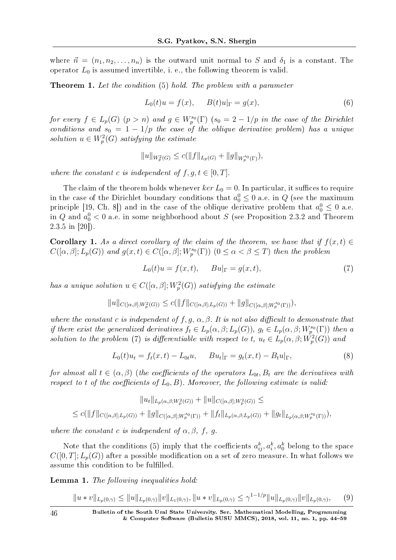where  $\vec{n} = (n_1, n_2, \ldots, n_n)$  is the outward unit normal to *S* and  $\delta_1$  is a constant. The operator  $L_0$  is assumed invertible, i. e., the following theorem is valid.

**Theorem 1.** Let the condition (5) hold. The problem with a parameter

$$
L_0(t)u = f(x), \t B(t)u|_{\Gamma} = g(x), \t (6)
$$

*for every*  $f \in L_p(G)$   $(p > n)$  and  $g \in W_p^{s_0}(\Gamma)$   $(s_0 = 2 - 1/p$  in the case of the Dirichlet conditions and  $s_0 = 1 - 1/p$  the case of the oblique derivative problem) has a unique solution  $u \in W_p^2(G)$  satisfying the estimate

$$
||u||_{W_p^2(G)} \le c(||f||_{L_p(G)} + ||g||_{W_p^{s_0}(\Gamma)}),
$$

where the constant *c* is independent of  $f, g, t \in [0, T]$ .

The claim of the theorem holds whenever  $ker L_0 = 0$ . In particular, it suffices to require in the case of the Dirichlet boundary conditions that  $a_0^0 \leq 0$  a.e. in  $Q$  (see the maximum principle [19, Ch. 8]) and in the case of the oblique derivative problem that  $a_0^0 \leq 0$  a.e. in  $Q$  and  $a_0^0 < 0$  a.e. in some neighborhood about  $S$  (see Proposition 2.3.2 and Theorem 2.3.5 in [20]).

**Corollary 1.** As a direct corollary of the claim of the theorem, we have that if  $f(x,t) \in$  $C([\alpha, \beta]; L_p(G))$  and  $g(x, t) \in C([\alpha, \beta]; W_p^{s_0}(\Gamma))$   $(0 \leq \alpha < \beta \leq T)$  then the problem

$$
L_0(t)u = f(x, t), \t Bu|_{\Gamma} = g(x, t), \t(7)
$$

has a unique solution  $u \in C([\alpha, \beta]; W_p^2(G))$  satisfying the estimate

$$
||u||_{C([\alpha,\beta];W_p^2(G))} \leq c(||f||_{C([\alpha,\beta];L_p(G))} + ||g||_{C([\alpha,\beta];W_p^{s_0}(\Gamma))}),
$$

where the constant *c* is independent of  $f, g, \alpha, \beta$ . It is not also difficult to demonstrate that *if there exist the generalized derivatives*  $f_t \in L_p(\alpha, \beta; L_p(G))$ ,  $g_t \in L_p(\alpha, \beta; W_p^{s_0}(\Gamma))$  then a solution to the problem (7) is differentiable with respect to  $t$ ,  $u_t \in L_p(\alpha, \beta; W_p^2(G))$  and

$$
L_0(t)u_t = f_t(x,t) - L_{0t}u, \qquad Bu_t|_{\Gamma} = g_t(x,t) - B_t u|_{\Gamma}, \tag{8}
$$

for almost all  $t \in (\alpha, \beta)$  (the coefficients of the operators  $L_{0t}$ ,  $B_t$  are the derivatives with respect to *t* of the coefficients of  $L_0$ , *B*). Moreover, the following estimate is valid:

$$
||u_t||_{L_p(\alpha,\beta;W_p^2(G))} + ||u||_{C([\alpha,\beta];W_p^2(G))} \le
$$
  

$$
\leq c(||f||_{C([\alpha,\beta];L_p(G))} + ||g||_{C([\alpha,\beta];W_p^{s_0}(\Gamma))} + ||f_t||_{L_p(\alpha,\beta;L_p(G))} + ||g_t||_{L_p(\alpha,\beta;W_p^{s_0}(\Gamma))}),
$$

where the constant *c* is independent of  $\alpha$ ,  $\beta$ ,  $f$ ,  $g$ .

Note that the conditions (5) imply that the coefficients  $a_{ij}^k, a_i^k, a_0^k$  belong to the space  $C([0,T]; L_p(G))$  after a possible modification on a set of zero measure. In what follows we assume this condition to be fulfilled.

Lemma 1. The following inequalities hold:

$$
||u * v||_{L_p(0,\gamma)} \le ||u||_{L_p(0,\gamma)} ||v||_{L_1(0,\gamma)}, ||u * v||_{L_p(0,\gamma)} \le \gamma^{1-1/p} ||u||_{L_p(0,\gamma)} ||v||_{L_p(0,\gamma)}, \qquad (9)
$$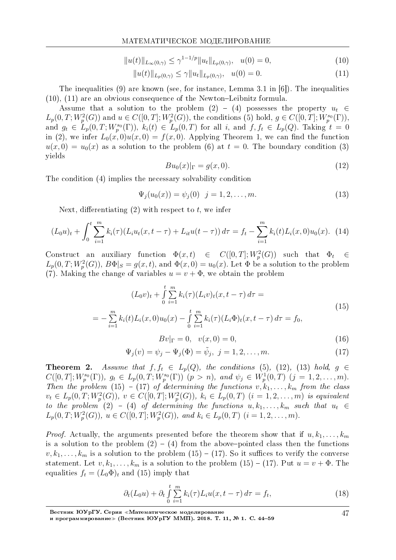$$
||u(t)||_{L_{\infty}(0,\gamma)} \le \gamma^{1-1/p} ||u_t||_{L_p(0,\gamma)}, \quad u(0) = 0,
$$
\n(10)

$$
||u(t)||_{L_p(0,\gamma)} \le \gamma ||u_t||_{L_p(0,\gamma)}, \quad u(0) = 0. \tag{11}
$$

The inequalities (9) are known (see, for instance, Lemma 3.1 in  $[6]$ ). The inequalities  $(10)$ ,  $(11)$  are an obvious consequence of the Newton-Leibnitz formula.

Assume that a solution to the problem (2) - (4) possesses the property  $u_t \in$  $L_p(0,T;W_p^2(G))$  and  $u \in C([0,T];W_p^2(G))$ , the conditions (5) hold,  $g \in C([0,T];W_p^{s_0}(\Gamma))$ , and  $g_t \in L_p(0,T; W_p^{s_0}(\Gamma)),$   $k_i(t) \in L_p(0,T)$  for all i, and  $f, f_t \in L_p(Q)$ . Taking  $t = 0$ in (2), we infer  $L_0(x,0)u(x,0) = f(x,0)$ . Applying Theorem 1, we can find the function  $u(x,0) = u_0(x)$  as a solution to the problem (6) at  $t = 0$ . The boundary condition (3) yields

$$
Bu_0(x)|_{\Gamma} = g(x, 0).
$$
 (12)

The condition (4) implies the necessary solvability condition

$$
\Psi_j(u_0(x)) = \psi_j(0) \quad j = 1, 2, \dots, m. \tag{13}
$$

Next, differentiating  $(2)$  with respect to t, we infer

$$
(L_0 u)_t + \int_0^t \sum_{i=1}^m k_i(\tau) (L_i u_t(x, t-\tau) + L_{it} u(t-\tau)) d\tau = f_t - \sum_{i=1}^m k_i(t) L_i(x, 0) u_0(x).
$$
 (14)

Construct an auxiliary function  $\Phi(x,t) \in C([0,T];W_p^2(G))$  such that  $\Phi_t \in$  $L_p(0,T;W_p^2(G))$ ,  $B\Phi|_S = g(x,t)$ , and  $\Phi(x,0) = u_0(x)$ . Let  $\Phi$  be a solution to the problem (7). Making the change of variables  $u = v + \Phi$ , we obtain the problem

$$
(L_0 v)_t + \int_0^t \sum_{i=1}^m k_i(\tau) (L_i v)_t (x, t - \tau) d\tau =
$$
  
= 
$$
-\sum_{i=1}^m k_i(t) L_i(x, 0) u_0(x) - \int_0^t \sum_{i=1}^m k_i(\tau) (L_i \Phi)_t (x, t - \tau) d\tau = f_0,
$$
 (15)

 $Bv|_{\Gamma} = 0, \quad v(x,0) = 0,$  $(16)$ 

$$
\Psi_j(v) = \psi_j - \Psi_j(\Phi) = \tilde{\psi}_j, \ j = 1, 2, \dots, m.
$$
\n(17)

**Theorem 2.** Assume that  $f, f_t \in L_p(Q)$ , the conditions (5), (12), (13) hold,  $g \in$  $C([0,T];W^{s_0}_p(\Gamma)), g_t \in L_p(0,T;W^{s_0}_p(\Gamma))$   $(p > n),$  and  $\psi_j \in W^1_p(0,T)$   $(j = 1,2,\ldots,m)$ . Then the problem (15) - (17) of determining the functions  $v, k_1, \ldots, k_m$  from the class  $v_t \in L_p(0,T;W_p^2(G)), v \in C([0,T];W_p^2(G)), k_i \in L_p(0,T)$   $(i = 1,2,...,m)$  is equivalent to the problem (2) - (4) of determining the functions  $u, k_1, \ldots, k_m$  such that  $u_t \in$  $L_p(0,T;W_p^2(G)), u \in C([0,T];W_p^2(G)),$  and  $k_i \in L_p(0,T)$   $(i = 1,2,\ldots,m)$ .

*Proof.* Actually, the arguments presented before the theorem show that if  $u, k_1, \ldots, k_m$ is a solution to the problem  $(2) - (4)$  from the above-pointed class then the functions  $v, k_1, \ldots, k_m$  is a solution to the problem  $(15) - (17)$ . So it suffices to verify the converse statement. Let  $v, k_1, \ldots, k_m$  is a solution to the problem  $(15) - (17)$ . Put  $u = v + \Phi$ . The equalities  $f_t = (L_0 \Phi)_t$  and (15) imply that

$$
\partial_t (L_0 u) + \partial_t \int_0^t \sum_{i=1}^m k_i(\tau) L_i u(x, t - \tau) d\tau = f_t,
$$
\n(18)

Вестник ЮУрГУ. Серия «Математическое моделирование<br>и программирование» (Вестник ЮУрГУ ММП). 2018. Т. 11, № 1. С. 44–59

47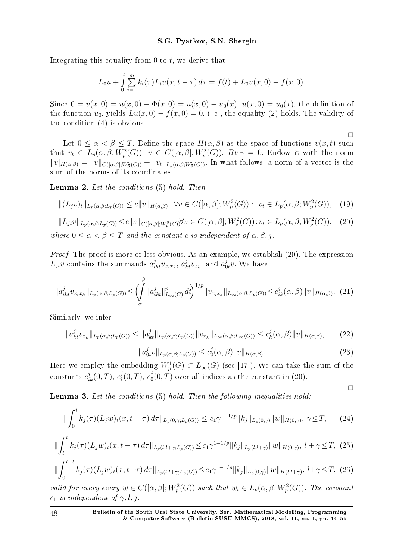Integrating this equality from 0 to *t*, we derive that

$$
L_0 u + \int_0^t \sum_{i=1}^m k_i(\tau) L_i u(x, t - \tau) d\tau = f(t) + L_0 u(x, 0) - f(x, 0).
$$

Since  $0 = v(x, 0) = u(x, 0) - \Phi(x, 0) = u(x, 0) - u_0(x), u(x, 0) = u_0(x)$ , the definition of the function  $u_0$ , yields  $Lu(x, 0) - f(x, 0) = 0$ , i. e., the equality (2) holds. The validity of the condition (4) is obvious.

Let  $0 \leq \alpha < \beta \leq T$ . Define the space  $H(\alpha, \beta)$  as the space of functions  $v(x, t)$  such that  $v_t \in L_p(\alpha, \beta; W_p^2(G))$ ,  $v \in C([\alpha, \beta]; W_p^2(G))$ ,  $Bv|_{\Gamma} = 0$ . Endow it with the norm  $||v||_{H(\alpha,\beta)} = ||v||_{C([\alpha,\beta];W_p^2(G))} + ||v_t||_{L_p(\alpha,\beta;W_p^2(G))}$ . In what follows, a norm of a vector is the sum of the norms of its coordinates.

Lemma 2. Let the conditions (5) hold. Then

$$
||(L_jv)_t||_{L_p(\alpha,\beta;L_p(G))} \le c||v||_{H(\alpha,\beta)} \quad \forall v \in C([\alpha,\beta];W_p^2(G)) : v_t \in L_p(\alpha,\beta;W_p^2(G)), \quad (19)
$$

$$
||L_{jt}v||_{L_p(\alpha,\beta;L_p(G))} \le c||v||_{C([\alpha,\beta];W_p^2(G))} \forall v \in C([\alpha,\beta];W_p^2(G)) : v_t \in L_p(\alpha,\beta;W_p^2(G)), \quad (20)
$$
  
where  $0 \le \alpha < \beta \le T$  and the constant c is independent of  $\alpha, \beta, j$ .

Proof. The proof is more or less obvious. As an example, we establish (20). The expression  $L_{jt}v$  contains the summands  $a_{ikt}^jv_{x_ix_k}$ ,  $a_{kt}^jv_{x_k}$ , and  $a_0^j$  $v_0^j$ . We have

$$
||a_{ikt}^{j}v_{x_{i}x_{k}}||_{L_{p}(\alpha,\beta;L_{p}(G))} \leq \left(\int_{\alpha}^{\beta} ||a_{ikt}^{j}||_{L_{\infty}(G)}^{p} dt\right)^{1/p} ||v_{x_{i}x_{k}}||_{L_{\infty}(\alpha,\beta;L_{p}(G))} \leq c_{ik}^{j}(\alpha,\beta) ||v||_{H(\alpha,\beta)}.
$$
 (21)

Similarly, we infer

$$
||a_{kt}^{j}v_{x_{k}}||_{L_{p}(\alpha,\beta;L_{p}(G))} \leq ||a_{kt}^{j}||_{L_{p}(\alpha,\beta;L_{p}(G))} ||v_{x_{k}}||_{L_{\infty}(\alpha,\beta;L_{\infty}(G))} \leq c_{k}^{j}(\alpha,\beta) ||v||_{H(\alpha,\beta)}, \qquad (22)
$$

$$
||a_{0t}^{j}v||_{L_{p}(\alpha,\beta;L_{p}(G))} \leq c_{0}^{j}(\alpha,\beta)||v||_{H(\alpha,\beta)}.
$$
\n(23)

 $\Box$ 

 $\Box$ 

Here we employ the embedding  $W_p^1(G) \subset L_\infty(G)$  (see [17]). We can take the sum of the  $\text{constants} \ c_{ik}^j(0,T), \ c_i^j$  $a_i^j(0,T)$ ,  $c_0^j$  $\mathcal{O}_0^{\jmath}(0,T)$  over all indices as the constant in (20).

Lemma 3. Let the conditions (5) hold. Then the following inequalities hold:

$$
\|\int_0^t k_j(\tau)(L_j w)_t(x, t-\tau) d\tau\|_{L_p(0,\gamma;L_p(G))} \le c_1 \gamma^{1-1/p} \|k_j\|_{L_p(0,\gamma)} \|w\|_{H(0,\gamma)}, \ \gamma \le T,
$$
 (24)

$$
\|\int_{l}^{t} k_{j}(\tau)(L_{j}w)_{t}(x,t-\tau) d\tau\|_{L_{p}(l,l+\gamma;L_{p}(G))} \leq c_{1}\gamma^{1-1/p} \|k_{j}\|_{L_{p}(l,l+\gamma)} \|w\|_{H(0,\gamma)}, \ l+\gamma \leq T, \ (25)
$$

$$
\|\int_0^{t-l} k_j(\tau)(L_j w)_t(x, t-\tau) d\tau\|_{L_p(l, l+\gamma; L_p(G))} \le c_1 \gamma^{1-1/p} \|k_j\|_{L_p(0, \gamma)} \|w\|_{H(l, l+\gamma)}, \ l+\gamma \le T, \ (26)
$$

*valid for every every*  $w \in C([\alpha, \beta]; W_p^2(G))$  such that  $w_t \in L_p(\alpha, \beta; W_p^2(G))$ . The constant  $c_1$  *is independent of*  $\gamma$ *, l, j.*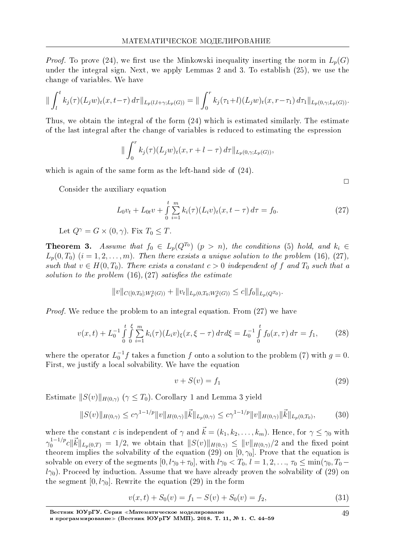*Proof.* To prove (24), we first use the Minkowski inequality inserting the norm in  $L_p(G)$ under the integral sign. Next, we apply Lemmas 2 and 3. To establish (25), we use the change of variables. We have

$$
\|\int_l^t k_j(\tau)(L_j w)_t(x, t-\tau) d\tau\|_{L_p(l, l+\gamma; L_p(G))} = \|\int_0^r k_j(\tau_1+l)(L_j w)_t(x, r-\tau_1) d\tau_1\|_{L_p(0, \gamma; L_p(G))}.
$$

Thus, we obtain the integral of the form  $(24)$  which is estimated similarly. The estimate of the last integral after the change of variables is reduced to estimating the espression

$$
\|\int_0^r k_j(\tau)(L_j w)_t(x, r+l-\tau) d\tau\|_{L_p(0,\gamma;L_p(G))},
$$

which is again of the same form as the left-hand side of  $(24)$ .

 $\Box$ 

Consider the auxiliary equation

$$
L_0 v_t + L_{0t} v + \int_0^t \sum_{i=1}^m k_i(\tau) (L_i v)_t(x, t - \tau) d\tau = f_0.
$$
 (27)

Let  $Q^{\gamma} = G \times (0, \gamma)$ . Fix  $T_0 \leq T$ .

**Theorem 3.** Assume that  $f_0 \in L_p(Q^{T_0})$   $(p > n)$ , the conditions (5) hold, and  $k_i \in$  $L_p(0,T_0)$   $(i = 1,2,...,m)$ . Then there exsists a unique solution to the problem (16), (27), such that  $v \in H(0,T_0)$ . There exists a constant  $c > 0$  independent of f and  $T_0$  such that a solution to the problem  $(16)$ ,  $(27)$  satisfies the estimate

$$
||v||_{C([0,T_0];W_p^2(G))} + ||v_t||_{L_p(0,T_0;W_p^2(G))} \leq c||f_0||_{L_p(Q^{T_0})}.
$$

*Proof.* We reduce the problem to an integral equation. From (27) we have

$$
v(x,t) + L_0^{-1} \int_0^t \int_0^{\xi} \sum_{i=1}^m k_i(\tau) (L_i v)_{\xi}(x,\xi-\tau) d\tau d\xi = L_0^{-1} \int_0^t f_0(x,\tau) d\tau = f_1,
$$
 (28)

where the operator  $L_0^{-1}f$  takes a function f onto a solution to the problem (7) with  $g=0$ . First, we justify a local solvability. We have the equation

$$
v + S(v) = f_1 \tag{29}
$$

Estimate  $||S(v)||_{H(0,\gamma)}$   $(\gamma \leq T_0)$ . Corollary 1 and Lemma 3 yield

$$
||S(v)||_{H(0,\gamma)} \le c\gamma^{1-1/p} ||v||_{H(0,\gamma)} ||\vec{k}||_{L_p(0,\gamma)} \le c\gamma^{1-1/p} ||v||_{H(0,\gamma)} ||\vec{k}||_{L_p(0,T_0)},\tag{30}
$$

where the constant c is independent of  $\gamma$  and  $\vec{k} = (k_1, k_2, \dots, k_m)$ . Hence, for  $\gamma \leq \gamma_0$  with  $\gamma_0^{1-1/p}c\|\vec{k}\|_{L_p(0,T)}=1/2$ , we obtain that  $||S(v)||_{H(0,\gamma)} \leq ||v||_{H(0,\gamma)}/2$  and the fixed point theorem implies the solvability of the equation (29) on [0,  $\gamma_0$ ]. Prove that the equation is solvable on every of the segments  $[0, l\gamma_0 + \tau_0]$ , with  $l\gamma_0 < T_0$ ,  $l = 1, 2, ..., \tau_0 \le \min(\gamma_0, T_0$  $l\gamma_0$ ). Proceed by induction. Assume that we have already proven the solvability of (29) on the segment [0,  $l\gamma_0$ ]. Rewrite the equation (29) in the form

$$
v(x,t) + S_0(v) = f_1 - S(v) + S_0(v) = f_2,
$$
\n(31)

49

Вестник ЮУрГУ. Серия «Математическое моделирование<br>и программирование» (Вестник ЮУрГУ ММП). 2018. Т. 11, № 1. С. 44–59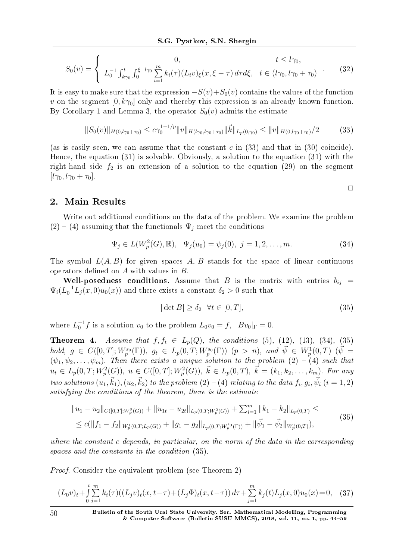$$
S_0(v) = \begin{cases} 0, & t \le l\gamma_0, \\ L_0^{-1} \int_{k\gamma_0}^t \int_0^{\xi - l\gamma_0} \sum_{i=1}^m k_i(\tau) (L_i v)_{\xi}(x, \xi - \tau) d\tau d\xi, & t \in (l\gamma_0, l\gamma_0 + \tau_0) \end{cases} (32)
$$

It is easy to make sure that the expression  $-S(v)+S_0(v)$  contains the values of the function *v* on the segment  $[0, k\gamma_0]$  only and thereby this expression is an already known function. By Corollary 1 and Lemma 3, the operator  $S_0(v)$  admits the estimate

$$
||S_0(v)||_{H(0,l\gamma_0+\tau_0)} \le c\gamma_0^{1-1/p} ||v||_{H(l\gamma_0,l\gamma_0+\tau_0)} ||\vec{k}||_{L_p(0,\gamma_0)} \le ||v||_{H(0,l\gamma_0+\tau_0)}/2 \tag{33}
$$

(as is easily seen, we can assume that the constant *c* in (33) and that in (30) coincide). Hence, the equation (31) is solvable. Obviously, a solution to the equation (31) with the right-hand side  $f_2$  is an extension of a solution to the equation  $(29)$  on the segment  $[l\gamma_0, l\gamma_0 + \tau_0].$ 

### 2. Main Results

Write out additional conditions on the data of the problem. We examine the problem  $(2) - (4)$  assuming that the functionals  $\Psi_j$  meet the conditions

$$
\Psi_j \in L(W_p^2(G), \mathbb{R}), \quad \Psi_j(u_0) = \psi_j(0), \ j = 1, 2, \dots, m. \tag{34}
$$

The symbol  $L(A, B)$  for given spaces A, B stands for the space of linear continuous operators defined on *A* with values in *B*.

Well-posedness conditions. Assume that *B* is the matrix with entries  $b_{ij}$  =  $\Psi_i(L_0^{-1}L_j(x,0)u_0(x))$  and there exists a constant  $\delta_2 > 0$  such that

$$
|\det B| \ge \delta_2 \quad \forall t \in [0, T], \tag{35}
$$

 $\Box$ 

where  $L_0^{-1}f$  is a solution  $v_0$  to the problem  $L_0v_0 = f$ ,  $Bv_0|_{\Gamma} = 0$ .

**Theorem 4.** Assume that  $f, f_t \in L_p(Q)$ , the conditions (5), (12), (13), (34), (35)  $hold, g \in C([0,T]; W_p^{s_0}(\Gamma)), g_t \in L_p(0,T; W_p^{s_0}(\Gamma)) \text{ (}p > n), and \ \vec{\psi} \in W_p^1(0,T) \text{ (}\vec{\psi} =$  $(\psi_1, \psi_2, \ldots, \psi_m)$ . Then there exists a unique solution to the problem  $(2)$  -  $(4)$  such that  $u_t \in L_p(0,T;W_p^2(G))$ ,  $u \in C([0,T];W_p^2(G))$ ,  $\vec{k} \in L_p(0,T)$ ,  $\vec{k} = (k_1,k_2,\ldots,k_m)$ . For any two solutions  $(u_1, \vec{k}_1), (u_2, \vec{k}_2)$  to the problem  $(2) - (4)$  relating to the data  $f_i, g_i, \vec{\psi}_i$   $(i = 1, 2)$ satisfying the conditions of the theorem, there is the estimate

$$
||u_1 - u_2||_{C([0,T];W_p^2(G))} + ||u_{1t} - u_{2t}||_{L_p(0,T;W_p^2(G))} + \sum_{i=1}^m ||k_1 - k_2||_{L_p(0,T)} \le
$$
  
 
$$
\leq c(||f_1 - f_2||_{W_p^1(0,T;L_p(G))} + ||g_1 - g_2||_{L_p(0,T;W_p^{s_0}(\Gamma))} + ||\vec{\psi}_1 - \vec{\psi}_2||_{W_p^1(0,T)}),
$$
 (36)

where the constant *c* depends, in particular, on the norm of the data in the corresponding spaces and the constants in the condition (35).

Proof. Consider the equivalent problem (see Theorem 2)

$$
(L_0v)_t + \int_{0}^{t} \sum_{j=1}^{m} k_i(\tau)((L_jv)_t(x, t-\tau) + (L_j\Phi)_t(x, t-\tau)) d\tau + \sum_{j=1}^{m} k_j(t)L_j(x, 0)u_0(x) = 0, \quad (37)
$$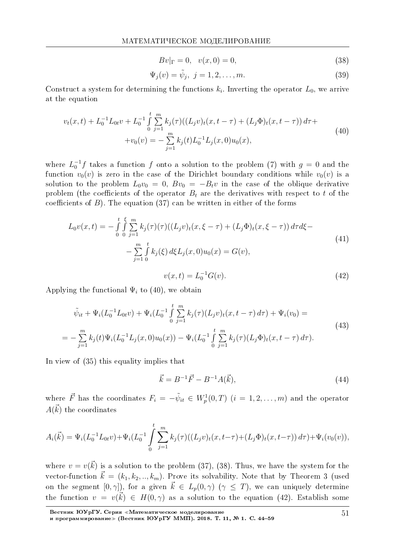$$
Bv|_{\Gamma} = 0, \quad v(x,0) = 0,\tag{38}
$$

$$
\Psi_j(v) = \tilde{\psi}_j, \ j = 1, 2, \dots, m. \tag{39}
$$

Construct a system for determining the functions  $k_i$ . Inverting the operator  $L_0$ , we arrive at the equation

$$
v_t(x,t) + L_0^{-1}L_{0t}v + L_0^{-1} \int_0^t \sum_{j=1}^m k_j(\tau)((L_jv)_t(x,t-\tau) + (L_j\Phi)_t(x,t-\tau)) d\tau + + v_0(v) = -\sum_{j=1}^m k_j(t)L_0^{-1}L_j(x,0)u_0(x),
$$
\n(40)

where  $L_0^{-1}f$  takes a function f onto a solution to the problem (7) with  $g = 0$  and the function  $v_0(v)$  is zero in the case of the Dirichlet boundary conditions while  $v_0(v)$  is a solution to the problem  $L_0v_0 = 0$ ,  $Bv_0 = -B_t v$  in the case of the oblique derivative problem (the coefficients of the operator  $B_t$  are the derivatives with respect to t of the coefficients of  $B$ ). The equation (37) can be written in either of the forms

$$
L_0 v(x,t) = -\int_0^t \int_0^{\xi} \sum_{j=1}^m k_j(\tau) (\tau) ((L_j v)_t (x, \xi - \tau) + (L_j \Phi)_t (x, \xi - \tau)) d\tau d\xi -
$$
  

$$
-\sum_{j=1}^m \int_0^t k_j(\xi) d\xi L_j(x,0) u_0(x) = G(v),
$$
  

$$
v(x,t) = L_0^{-1} G(v).
$$
 (42)

 $v(x,t) = L_0^{-1}G(v).$ 

Applying the functional  $\Psi_i$  to (40), we obtain

$$
\tilde{\psi}_{it} + \Psi_i (L_0^{-1} L_{0t} v) + \Psi_i (L_0^{-1} \int_0^t \sum_{j=1}^m k_j(\tau) (L_j v)_t (x, t - \tau) d\tau) + \Psi_i (v_0) =
$$
\n
$$
= - \sum_{j=1}^m k_j(t) \Psi_i (L_0^{-1} L_j (x, 0) u_0(x)) - \Psi_i (L_0^{-1} \int_0^t \sum_{j=1}^m k_j(\tau) (L_j \Phi)_t (x, t - \tau) d\tau).
$$
\n(43)

In view of  $(35)$  this equality implies that

$$
\vec{k} = B^{-1}\vec{F} - B^{-1}A(\vec{k}),\tag{44}
$$

where  $\vec{F}$  has the coordinates  $F_i = -\tilde{\psi}_{it} \in W_p^1(0,T)$   $(i = 1,2,\ldots,m)$  and the operator  $A(\vec{k})$  the coordinates

$$
A_i(\vec{k}) = \Psi_i(L_0^{-1}L_{0t}v) + \Psi_i(L_0^{-1}\int_0^t \sum_{j=1}^m k_j(\tau)((L_jv)_t(x, t-\tau) + (L_j\Phi)_t(x, t-\tau)) d\tau) + \Psi_i(v_0(v)),
$$

where  $v = v(\vec{k})$  is a solution to the problem (37), (38). Thus, we have the system for the vector-function  $\vec{k} = (k_1, k_2, ..., k_m)$ . Prove its solvability. Note that by Theorem 3 (used on the segment  $[0, \gamma]$ , for a given  $\vec{k} \in L_p(0, \gamma)$  ( $\gamma \leq T$ ), we can uniquely determine the function  $v = v(\vec{k}) \in H(0, \gamma)$  as a solution to the equation (42). Establish some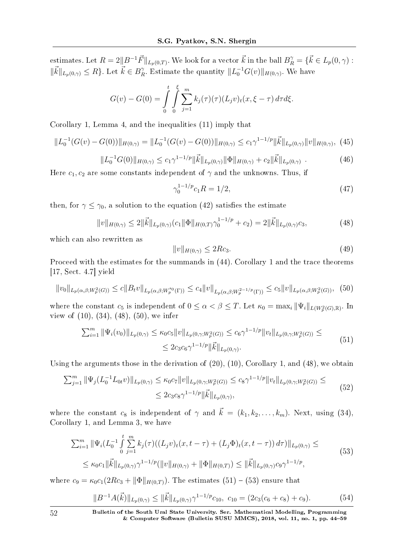estimates. Let  $R = 2||B^{-1}\vec{F}||_{L_p(0,T)}$ . We look for a vector  $\vec{k}$  in the ball  $B_R^{\gamma} = {\{\vec{k} \in L_p(0,\gamma) : \}}$  $\|\vec{k}\|_{L_p(0,\gamma)} \leq R$ . Let  $\vec{k} \in B_R^{\gamma}$  $R$ <sup>2</sup>. Estimate the quantity  $||L_0^{-1}G(v)||_{H(0,\gamma)}$ . We have

$$
G(v) - G(0) = \int_{0}^{t} \int_{0}^{\xi} \sum_{j=1}^{m} k_j(\tau) (\tau) (L_j v)_t(x, \xi - \tau) d\tau d\xi.
$$

Corollary 1, Lemma 4, and the inequalities (11) imply that

$$
||L_0^{-1}(G(v) - G(0))||_{H(0,\gamma)} = ||L_0^{-1}(G(v) - G(0))||_{H(0,\gamma)} \le c_1 \gamma^{1-1/p} ||\vec{k}||_{L_p(0,\gamma)} ||v||_{H(0,\gamma)}, \tag{45}
$$

$$
||L_0^{-1}G(0)||_{H(0,\gamma)} \le c_1 \gamma^{1-1/p} ||\vec{k}||_{L_p(0,\gamma)} ||\Phi||_{H(0,\gamma)} + c_2 ||\vec{k}||_{L_p(0,\gamma)} . \tag{46}
$$

Here  $c_1, c_2$  are some constants independent of  $\gamma$  and the unknowns. Thus, if

$$
\gamma_0^{1-1/p} c_1 R = 1/2,\tag{47}
$$

then, for  $\gamma \leq \gamma_0$ , a solution to the equation (42) satisfies the estimate

$$
||v||_{H(0,\gamma)} \le 2||\vec{k}||_{L_p(0,\gamma)}(c_1||\Phi||_{H(0,T)}\gamma_0^{1-1/p} + c_2) = 2||\vec{k}||_{L_p(0,\gamma)}c_3,
$$
\n(48)

which can also rewritten as

$$
||v||_{H(0,\gamma)} \le 2Rc_3. \tag{49}
$$

Proceed with the estimates for the summands in (44). Corollary 1 and the trace theorems [17, Sect. 4.7] yield

$$
||v_0||_{L_p(\alpha,\beta;W_p^2(G))} \leq c||B_t v||_{L_p(\alpha,\beta;W_p^{s_0}(\Gamma))} \leq c_4 ||v||_{L_p(\alpha,\beta;W_p^{2-1/p}(\Gamma))} \leq c_5 ||v||_{L_p(\alpha,\beta;W_p^2(G))},
$$
(50)

where the constant  $c_5$  is independent of  $0 \leq \alpha < \beta \leq T$ . Let  $\kappa_0 = \max_i ||\Psi_i||_{L(W_p^2(G), \mathbb{R})}$ . In view of  $(10)$ ,  $(34)$ ,  $(48)$ ,  $(50)$ , we infer

$$
\sum_{i=1}^{m} \|\Psi_i(v_0)\|_{L_p(0,\gamma)} \le \kappa_0 c_5 \|v\|_{L_p(0,\gamma;W_p^2(G))} \le c_6 \gamma^{1-1/p} \|v_t\|_{L_p(0,\gamma;W_p^2(G))} \le
$$
\n
$$
\le 2c_3 c_6 \gamma^{1-1/p} \|\vec{k}\|_{L_p(0,\gamma)}.
$$
\n
$$
(51)
$$

Using the arguments those in the derivation of  $(20)$ ,  $(10)$ , Corollary 1, and  $(48)$ , we obtain

$$
\sum_{j=1}^{m} \|\Psi_j(L_0^{-1}L_{0t}v)\|_{L_p(0,\gamma)} \le \kappa_0 c_7 \|v\|_{L_p(0,\gamma;W_p^2(G))} \le c_8 \gamma^{1-1/p} \|v_t\|_{L_p(0,\gamma;W_p^2(G))} \le
$$
  

$$
\le 2c_3 c_8 \gamma^{1-1/p} \|\vec{k}\|_{L_p(0,\gamma)},
$$
\n
$$
(52)
$$

where the constant  $c_8$  is independent of  $\gamma$  and  $\vec{k} = (k_1, k_2, \ldots, k_m)$ . Next, using (34), Corollary 1, and Lemma 3, we have

$$
\sum_{i=1}^{m} \|\Psi_i(L_0^{-1} \int_0^t \sum_{j=1}^m k_j(\tau)((L_j v)_t(x, t-\tau) + (L_j \Phi)_t(x, t-\tau)) d\tau)\|_{L_p(0,\gamma)} \le
$$
\n
$$
\le \kappa_0 c_1 \|\vec{k}\|_{L_p(0,\gamma)} \gamma^{1-1/p} (\|v\|_{H(0,\gamma)} + \|\Phi\|_{H(0,T)}) \le \|\vec{k}\|_{L_p(0,\gamma)} c_9 \gamma^{1-1/p},
$$
\n(53)

where  $c_9 = \kappa_0 c_1 (2Rc_3 + ||\Phi||_{H(0,T)})$ . The estimates  $(51) - (53)$  ensure that

$$
||B^{-1}A(\vec{k})||_{L_p(0,\gamma)} \le ||\vec{k}||_{L_p(0,\gamma)}\gamma^{1-1/p}c_{10}, \ c_{10} = (2c_3(c_6+c_8)+c_9). \tag{54}
$$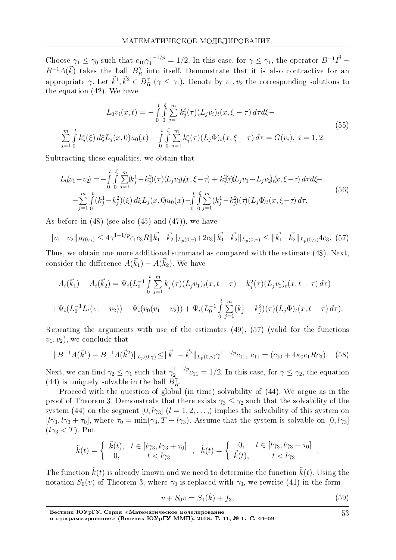Choose  $\gamma_1 \leq \gamma_0$  such that  $c_{10}\gamma_1^{1-1/p} = 1/2$ . In this case, for  $\gamma \leq \gamma_1$ , the operator  $B^{-1}\vec{F} - B^{-1}A(\vec{k})$  takes the ball  $B_R^{\gamma}$  into itself. Demonstrate that it is also contractive for an appropriate  $\gamma$ . Let  $\vec{k}^1, \vec{k}^2 \in B_R^{\gamma}$  ( $\gamma \leq \gamma_1$ ). Denote by  $v_1, v_2$  the corresponding solutions to the equation  $(42)$ . We have

$$
L_0 v_i(x,t) = -\int_0^t \int_0^{\xi} \sum_{j=1}^m k_j^i(\tau) (L_j v_i)_t(x,\xi - \tau) d\tau d\xi -
$$
  

$$
-\sum_{j=1}^m \int_0^t k_j^i(\xi) d\xi L_j(x,0) u_0(x) - \int_0^t \int_0^{\xi} \sum_{j=1}^m k_j^i(\tau) (L_j \Phi)_t(x,\xi - \tau) d\tau = G(v_i), \quad i = 1,2.
$$
 (55)

Subtracting these equalities, we obtain that

$$
L_0(v_1 - v_2) = -\int_0^t \int_0^{\xi} \sum_{j=1}^m (k_j^1 - k_j^2)(\tau) (L_j v_1)_t(x, \xi - \tau) + k_j^2(\tau) (L_j v_1 - L_j v_2)_t(x, \xi - \tau) d\tau d\xi -
$$
  

$$
- \sum_{j=1}^m \int_0^t (k_j^1 - k_j^2)(\xi) d\xi L_j(x, 0) u_0(x) - \int_0^t \int_0^{\xi} \sum_{j=1}^m (k_j^1 - k_j^2)(\tau) (L_j \Phi)_t(x, \xi - \tau) d\tau.
$$
  
(56)

As before in  $(48)$  (see also  $(45)$  and  $(47)$ ), we have

$$
||v_1 - v_2||_{H(0,\gamma)} \le 4\gamma^{1-1/p} c_1 c_3 R ||\vec{k_1} - \vec{k_2}||_{L_p(0,\gamma)} + 2c_3 ||\vec{k_1} - \vec{k_2}||_{L_p(0,\gamma)} \le ||\vec{k_1} - \vec{k_2}||_{L_p(0,\gamma)} 4c_3. (57)
$$

Thus, we obtain one more additional summand as compared with the estimate (48). Next. consider the difference  $A(\vec{k}_1) - A(\vec{k}_2)$ . We have

$$
A_i(\vec{k}_1) - A_i(\vec{k}_2) = \Psi_i(L_0^{-1} \int_0^t \sum_{j=1}^m k_j^1(\tau) (L_j v_1)_t(x, t - \tau) - k_j^2(\tau) (L_j v_2)_t(x, t - \tau) d\tau) +
$$
  
+ 
$$
\Psi_i(L_0^{-1} L_t(v_1 - v_2)) + \Psi_i(v_0(v_1 - v_2)) + \Psi_i(L_0^{-1} \int_0^t \sum_{j=1}^m (k_j^1 - k_j^2)(\tau) (L_j \Phi)_t(x, t - \tau) d\tau).
$$

Repeating the arguments with use of the estimates  $(49)$ ,  $(57)$  (valid for the functions  $(v_1, v_2)$ , we conclude that

$$
||B^{-1}A(\vec{k}^1) - B^{-1}A(\vec{k}^2)||_{L_p(0,\gamma)} \le ||\vec{k}^1 - \vec{k}^2||_{L_p(0,\gamma)} \gamma^{1-1/p} c_{11}, \ c_{11} = (c_{10} + 4\kappa_0 c_1 R c_3). \tag{58}
$$

Next, we can find  $\gamma_2 \leq \gamma_1$  such that  $\gamma_2^{1-1/p} c_{11} = 1/2$ . In this case, for  $\gamma \leq \gamma_2$ , the equation (44) is uniquely solvable in the ball  $B_R^{\gamma}$ .

Proceed with the question of global (in time) solvability of (44). We argue as in the proof of Theorem 3. Demonstrate that there exists  $\gamma_3 \leq \gamma_2$  such that the solvability of the system (44) on the segment  $[0, l\gamma_3]$   $(l = 1, 2, \ldots)$  implies the solvability of this system on  $[l\gamma_3, l\gamma_3 + \tau_0]$ , where  $\tau_0 = \min(\gamma_3, T - l\gamma_3)$ . Assume that the system is solvable on  $[0, l\gamma_3]$  $(l\gamma_3 < T)$ . Put

$$
\tilde{k}(t) = \begin{cases}\n\vec{k}(t), & t \in [l\gamma_3, l\gamma_3 + \tau_0] \\
0, & t < l\gamma_3\n\end{cases}, \quad \hat{k}(t) = \begin{cases}\n0, & t \in [l\gamma_3, l\gamma_3 + \tau_0] \\
\vec{k}(t), & t < l\gamma_3\n\end{cases}
$$

The function  $\hat{k}(t)$  is already known and we need to determine the function  $\tilde{k}(t)$ . Using the notation  $S_0(v)$  of Theorem 3, where  $\gamma_0$  is replaced with  $\gamma_3$ , we rewrite (41) in the form

$$
v + S_0 v = S_1(k) + f_3,\tag{59}
$$

53

Вестник ЮУрГУ. Серия «Математическое моделирование<br>и программирование» (Вестник ЮУрГУ ММП). 2018. Т. 11, № 1. С. 44–59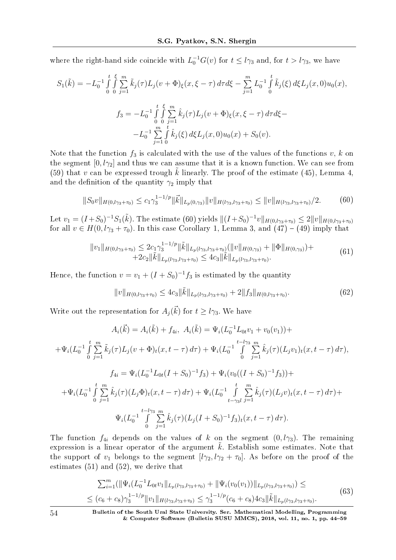where the right-hand side coincide with  $L_0^{-1}G(v)$  for  $t \leq l\gamma_3$  and, for  $t > l\gamma_3$ , we have

$$
S_1(\tilde{k}) = -L_0^{-1} \int_0^t \int_0^{\xi} \sum_{j=1}^m \tilde{k}_j(\tau) L_j(v + \Phi)_{\xi}(x, \xi - \tau) d\tau d\xi - \sum_{j=1}^m L_0^{-1} \int_0^t \tilde{k}_j(\xi) d\xi L_j(x, 0) u_0(x),
$$
  

$$
f_3 = -L_0^{-1} \int_0^t \int_0^{\xi} \sum_{j=1}^m \hat{k}_j(\tau) L_j(v + \Phi)_{\xi}(x, \xi - \tau) d\tau d\xi -
$$
  

$$
-L_0^{-1} \sum_{j=1}^m \int_0^t \hat{k}_j(\xi) d\xi L_j(x, 0) u_0(x) + S_0(v).
$$

Note that the function  $f_3$  is calculated with the use of the values of the functions  $v, k$  on the segment  $[0, l\gamma_2]$  and thus we can assume that it is a known function. We can see from (59) that  $v$  can be expressed trough  $k$  linearly. The proof of the estimate (45), Lemma 4, and the definition of the quantity  $\gamma_2$  imply that

$$
||S_0v||_{H(0,l\gamma_3+\tau_0)} \le c_1 \gamma_3^{1-1/p} ||\vec{k}||_{L_p(0,\gamma_3)} ||v||_{H(l\gamma_3,l\gamma_3+\tau_0)} \le ||v||_{H(l\gamma_3,l\gamma_3+\tau_0)}/2. \tag{60}
$$

Let  $v_1 = (I + S_0)^{-1} S_1(\tilde{k})$ . The estimate (60) yields  $||(I + S_0)^{-1}v||_{H(0,l\gamma_3 + \tau_0)} \leq 2||v||_{H(0,l\gamma_3 + \tau_0)}$ for all  $v \in H(0, l\gamma_3 + \tau_0)$ . In this case Corollary 1, Lemma 3, and  $(47) - (49)$  imply that

$$
||v_1||_{H(0,l\gamma_3+\tau_0)} \le 2c_1\gamma_3^{1-1/p} ||\tilde{k}||_{L_p(l\gamma_3,l\gamma_3+\tau_0)} (||v||_{H(0,\gamma_3)} + ||\Phi||_{H(0,\gamma_3)}) ++2c_2 ||\tilde{k}||_{L_p(l\gamma_3,l\gamma_3+\tau_0)} \le 4c_3 ||\tilde{k}||_{L_p(l\gamma_3,l\gamma_3+\tau_0)}.
$$
\n
$$
(61)
$$

Hence, the function  $v = v_1 + (I + S_0)^{-1} f_3$  is estimated by the quantity

$$
||v||_{H(0,l\gamma_3+\tau_0)} \le 4c_3 ||\tilde{k}||_{L_p(l\gamma_3,l\gamma_3+\tau_0)} + 2||f_3||_{H(0,l\gamma_3+\tau_0)}.
$$
\n(62)

Write out the representation for  $A_j(\vec{k})$  for  $t \geq l\gamma_3$ . We have

$$
A_i(\vec{k}) = A_i(\tilde{k}) + f_{4i}, \ A_i(\tilde{k}) = \Psi_i(L_0^{-1}L_{0t}v_1 + v_0(v_1)) +
$$
  
+
$$
\Psi_i(L_0^{-1} \int_0^t \sum_{j=1}^m \tilde{k}_j(\tau) L_j(v + \Phi)_t(x, t - \tau) d\tau) + \Psi_i(L_0^{-1} \int_0^{t-l_{\gamma_3}} \sum_{j=1}^m \hat{k}_j(\tau) (L_j v_1)_t(x, t - \tau) d\tau),
$$
  

$$
f_{4i} = \Psi_i(L_0^{-1}L_{0t}(I + S_0)^{-1}f_3) + \Psi_i(v_0((I + S_0)^{-1}f_3)) +
$$
  
+
$$
\Psi_i(L_0^{-1} \int_0^t \sum_{j=1}^m \hat{k}_j(\tau) (L_j \Phi)_t(x, t - \tau) d\tau) + \Psi_i(L_0^{-1} \int_0^t \sum_{t-\gamma_3}^m \hat{k}_j(\tau) (L_j v)_t(x, t - \tau) d\tau) +
$$
  

$$
\Psi_i(L_0^{-1} \int_0^{t-l_{\gamma_3}} \sum_{j=1}^m \hat{k}_j(\tau) (L_j(I + S_0)^{-1}f_3)_t(x, t - \tau) d\tau).
$$

The function  $f_{4i}$  depends on the values of k on the segment  $(0, l\gamma_3)$ . The remaining expression is a linear operator of the argument  $\tilde{k}$ . Establish some estimates. Note that the support of  $v_1$  belongs to the segment  $[l\gamma_2, l\gamma_2 + \tau_0]$ . As before on the proof of the estimates (51) and (52), we derive that

$$
\sum_{i=1}^{m} (||\Psi_i(L_0^{-1}L_{0t}v_1||_{L_p(l_{\gamma_3},l_{\gamma_3}+\tau_0)} + ||\Psi_i(v_0(v_1))||_{L_p(l_{\gamma_3},l_{\gamma_3}+\tau_0)}) \le
$$
\n
$$
\le (c_6 + c_8)\gamma_3^{1-1/p} ||v_1||_{H(l_{\gamma_3},l_{\gamma_3}+\tau_0)} \le \gamma_3^{1-1/p} (c_6 + c_8)4c_3 ||\tilde{k}||_{L_p(l_{\gamma_3},l_{\gamma_3}+\tau_0)}.
$$
\n(63)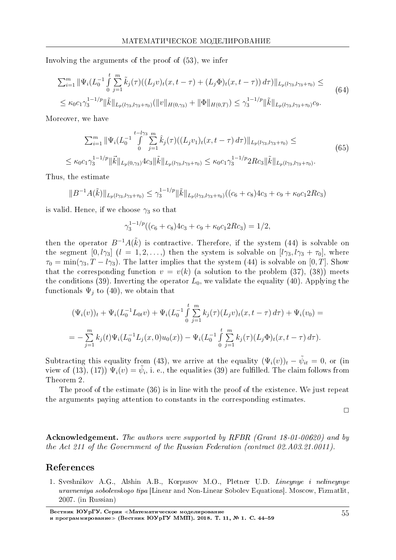Involving the arguments of the proof of (53), we infer

$$
\sum_{i=1}^{m} \|\Psi_{i}(L_{0}^{-1}\int_{0}^{t}\sum_{j=1}^{m}\tilde{k}_{j}(\tau)((L_{j}v)_{t}(x,t-\tau)+(L_{j}\Phi)_{t}(x,t-\tau))d\tau)\|_{L_{p}(l\gamma_{3},l\gamma_{3}+\tau_{0})} \leq
$$
\n
$$
\leq \kappa_{0}c_{1}\gamma_{3}^{1-1/p}\|\tilde{k}\|_{L_{p}(l\gamma_{3},l\gamma_{3}+\tau_{0})}(\|v\|_{H(0,\gamma_{3})}+\|\Phi\|_{H(0,T)}) \leq \gamma_{3}^{1-1/p}\|\tilde{k}\|_{L_{p}(l\gamma_{3},l\gamma_{3}+\tau_{0})}c_{9}.
$$
\n
$$
(64)
$$

Moreover, we have

$$
\sum_{i=1}^{m} \|\Psi_i(L_0^{-1} \int_0^{t-l\gamma_3} \sum_{j=1}^{m} \hat{k}_j(\tau)((L_j v_1)_t(x, t-\tau) d\tau)\|_{L_p(l\gamma_3, l\gamma_3+\tau_0)} \le
$$
\n
$$
\le \kappa_0 c_1 \gamma_3^{1-1/p} \|\vec{k}\|_{L_p(0, \gamma_3)} 4c_3 \|\tilde{k}\|_{L_p(l\gamma_3, l\gamma_3+\tau_0)} \le \kappa_0 c_1 \gamma_3^{1-1/p} 2Rc_3 \|\tilde{k}\|_{L_p(l\gamma_3, l\gamma_3+\tau_0)}.
$$
\n(65)

Thus, the estimate

$$
||B^{-1}A(\tilde{k})||_{L_p(l\gamma_3,l\gamma_3+\tau_0)} \leq \gamma_3^{1-1/p} ||\tilde{k}||_{L_p(l\gamma_3,l\gamma_3+\tau_0)}((c_6+c_8)4c_3+c_9+\kappa_0c_12Rc_3)
$$

is valid. Hence, if we choose  $\gamma_3$  so that

$$
\gamma_3^{1-1/p}((c_6+c_8)4c_3+c_9+\kappa_0c_12Rc_3)=1/2,
$$

then the operator  $B^{-1}A(\tilde{k})$  is contractive. Therefore, if the system (44) is solvable on the segment  $[0, l\gamma_3]$   $(l = 1, 2, \ldots)$  then the system is solvable on  $[l\gamma_3, l\gamma_3 + \tau_0]$ , where  $\tau_0 = \min(\gamma_3, T - l\gamma_3)$ . The latter implies that the system (44) is solvable on [0*, T*]. Show that the corresponding function  $v = v(k)$  (a solution to the problem (37), (38)) meets the conditions (39). Inverting the operator  $L_0$ , we validate the equality (40). Applying the functionals  $\Psi_j$  to (40), we obtain that

$$
(\Psi_i(v))_t + \Psi_i(L_0^{-1}L_{0t}v) + \Psi_i(L_0^{-1}\int_0^t \sum_{j=1}^m k_j(\tau)(L_jv)_t(x, t-\tau) d\tau) + \Psi_i(v_0) =
$$
  
= 
$$
-\sum_{j=1}^m k_j(t)\Psi_i(L_0^{-1}L_j(x, 0)u_0(x)) - \Psi_i(L_0^{-1}\int_0^t \sum_{j=1}^m k_j(\tau)(L_j\Phi)_t(x, t-\tau) d\tau).
$$

Subtracting this equality from (43), we arrive at the equality  $(\Psi_i(v))_t - \tilde{\psi}_{it} = 0$ , or (in view of (13), (17))  $\Psi_i(v) = \tilde{\psi}_i$ , i. e., the equalities (39) are fulfilled. The claim follows from Theorem 2.

The proof of the estimate (36) is in line with the proof of the existence. We just repeat the arguments paying attention to constants in the corresponding estimates.

 $\Box$ 

Acknowledgement. The authors were supported by RFBR (Grant 18-01-00620) and by the Act 211 of the Government of the Russian Federation (contract 02.A03.21.0011).

## References

1. Sveshnikov A.G., Alshin A.B., Korpusov M.O., Pletner U.D. Lineynye i nelineynye uravneniya sobolevskogo tipa [Linear and Non-Linear Sobolev Equations]. Moscow, Fizmatlit, 2007. (in Russian)

Вестник ЮУрГУ. Серия «Математическое моделирование и программирование» (Вестник ЮУрГУ ММП). 2018. Т. 11, № 1. С. 44-59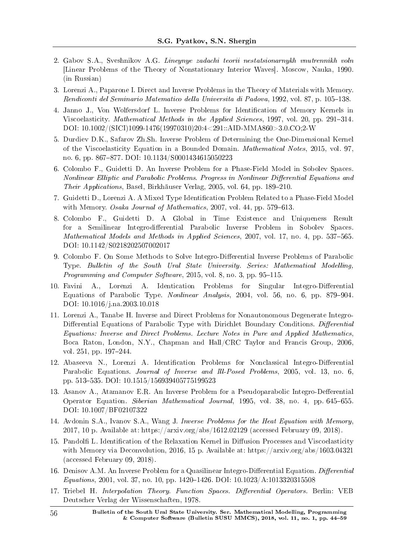- 2. Gabov S.A., Sveshnikov A.G. Lineynye zadachi teorii nestatsionarnykh vnutrennikh voln [Linear Problems of the Theory of Nonstationary Interior Waves]. Moscow, Nauka, 1990. (in Russian)
- 3. Lorenzi A., Paparone I. Direct and Inverse Problems in the Theory of Materials with Memory. Rendiconti del Seminario Matematico della Universita di Padova, 1992, vol. 87, p. 105-138.
- 4. Janno J., Von Wolfersdorf L. Inverse Problems for Identification of Memory Kernels in Viscoelasticity. Mathematical Methods in the Applied Sciences, 1997, vol. 20, pp. 291-314. DOI: 10.1002/(SICI)1099-1476(19970310)20:4<291::AID-MMA860>3.0.CO;2-W
- 5. Durdiev D.K., Safarov Zh.Sh. Inverse Problem of Determining the One-Dimensional Kernel of the Viscoelasticity Equation in a Bounded Domain. Mathematical Notes, 2015, vol. 97, no. 6, pp. 867-877. DOI: 10.1134/S0001434615050223
- 6. Colombo F., Guidetti D. An Inverse Problem for a Phase-Field Model in Sobolev Spaces. Nonlinear Elliptic and Parabolic Problems. Progress in Nonlinear Differential Equations and Their Applications, Basel, Birkhäuser Verlag, 2005, vol. 64, pp. 189–210.
- 7. Guidetti D., Lorenzi A. A Mixed Type Identification Problem Related to a Phase-Field Model with Memory. Osaka Journal of Mathematics, 2007, vol. 44, pp. 579–613.
- 8. Colombo F., Guidetti D. A Global in Time Existence and Uniqueness Result for a Semilinear Integrodifferential Parabolic Inverse Problem in Sobolev Spaces. Mathematical Models and Methods in Applied Sciences, 2007, vol. 17, no. 4, pp. 537–565. DOI: 10.1142/S0218202507002017
- 9. Colombo F. On Some Methods to Solve Integro-Differential Inverse Problems of Parabolic Type. Bulletin of the South Ural State University. Series: Mathematical Modelling, Programming and Computer Software,  $2015$ , vol. 8, no. 3, pp. 95-115.
- 10. Favini A., Lorenzi A. Identication Problems for Singular Integro-Differential Equations of Parabolic Type. Nonlinear Analysis, 2004, vol. 56, no. 6, pp. 879–904. DOI: 10.1016/j.na.2003.10.018
- 11. Lorenzi A., Tanabe H. Inverse and Direct Problems for Nonautonomous Degenerate Integro-Differential Equations of Parabolic Type with Dirichlet Boundary Conditions. Differential Equations: Inverse and Direct Problems. Lecture Notes in Pure and Applied Mathematics, Boca Raton, London, N.Y., Chapman and Hall/CRC Taylor and Francis Group, 2006, vol. 251, pp. 197-244.
- 12. Abaseeva N., Lorenzi A. Identification Problems for Nonclassical Integro-Differential Parabolic Equations. Journal of Inverse and Ill-Posed Problems, 2005, vol. 13, no. 6, pp. 513535. DOI: 10.1515/156939405775199523
- 13. Asanov A., Atamanov E.R. An Inverse Problem for a Pseudoparabolic Integro-Defferential Operator Equation. Siberian Mathematical Journal, 1995, vol. 38, no. 4, pp. 645–655. DOI: 10.1007/BF02107322
- 14. Avdonin S.A., Ivanov S.A., Wang J. Inverse Problems for the Heat Equation with Memory, 2017, 10 p. Available at: https://arxiv.org/abs/1612.02129 (accessed February 09, 2018).
- 15. Pandolfi L. Identification of the Relaxation Kernel in Diffusion Processes and Viscoelasticity with Memory via Deconvolution, 2016, 15 p. Available at: https://arxiv.org/abs/1603.04321 (accessed February 09, 2018).
- 16. Denisov A.M. An Inverse Problem for a Quasilinear Integro-Differential Equation. Differential  $Equations, 2001, vol. 37, no. 10, pp. 1420–1426. DOI: 10.1023/A:1013320315508$
- 17. Triebel H. Interpolation Theory. Function Spaces. Differential Operators. Berlin: VEB Deutscher Verlag der Wissenschaften, 1978.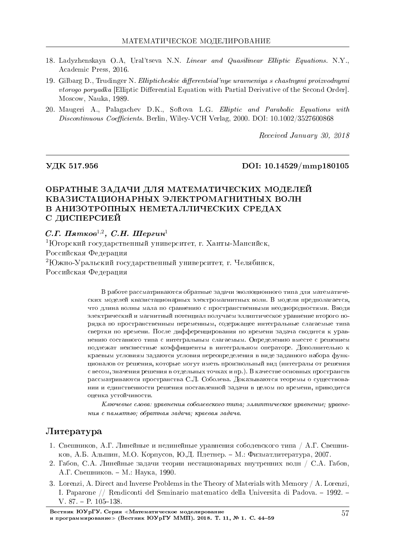- 18. Ladyzhenskaya O.A, Ural'tseva N.N. Linear and Quasilinear Elliptic Equations. N.Y., Academic Press, 2016.
- 19. Gilbarg D., Trudinger N. Ellipticheskie differentsial'nye uravneniya s chastnymi proizvodnymi *vtorogo poryadka* [Elliptic Differential Equation with Partial Derivative of the Second Order]. Moscow, Nauka, 1989.
- 20. Maugeri A., Palagachev D.K., Softova L.G. Elliptic and Parabolic Equations with Discontinuous Coefficients. Berlin, Wiley-VCH Verlag, 2000. DOI: 10.1002/3527600868

Received January 30, 2018

#### ÓÄÊ 517.956 DOI: 10.14529/mmp180105

# ОБРАТНЫЕ ЗАДАЧИ ДЛЯ МАТЕМАТИЧЕСКИХ МОДЕЛЕЙ КВАЗИСТАЦИОНАРНЫХ ЭЛЕКТРОМАГНИТНЫХ ВОЛН В АНИЗОТРОПНЫХ НЕМЕТАЛЛИЧЕСКИХ СРЕДАХ С ДИСПЕРСИЕЙ

С.Г. Пятков<sup>1,2</sup>, С.Н. Шергин<sup>1</sup>

<sup>1</sup>Югорский государственный университет, г. Ханты-Мансийск, Российская Федерация  ${}^{2}$ Южно-Уральский государственный университет, г. Челябинск, Российская Федерация

> В работе рассматриваются обратные задачи эволюционного типа для математических моделей квазистационарных электромагнитных волн. В модели предполагается, что длина волны мала по сравнению с пространственными неоднородностями. Вводя электрический и магнитный потенциал получаем эллиптическое уравнение второго порядка по пространственным переменным, содержащее интегральные слагаемые типа свертки по времени. После дифференцирования по времени задача сводится к уравнению составного типа с интегральным слагаемым. Определению вместе с решением подлежат неизвестные коэффициенты в интегральном операторе. Дополнительно к краевым условиям задаются условия переопределения в виде заданного набора функционалов от решения, которые могут иметь произвольный вид (интегралы от решения с весом, значения решения в отдельных точках и пр.). В качестве основных пространств рассматриваются пространства С.Л. Соболева. Доказываются теоремы о существовании и единственности решения поставленной задачи в целом по времени, приводится оценка устойчивости.

> $K$ лючевые слова: уравнения соболевского типа; эллиптическое уравнение; уравнения с памятью; обратная задача; краевая задача.

### $J$ итература

- 1. Свешников, А.Г. Линейные и нелинейные уравнения соболевского типа / А.Г. Свешников, А.Б. Альшин, М.О. Корпусов, Ю.Д. Плетнер. – М.: Физматлитература, 2007.
- 2. Габов, С.А. Линейные задачи теории нестационарных внутренних волн / С.А. Габов, А.Г. Свешников. – М.: Наука, 1990.
- 3. Lorenzi, A. Direct and Inverse Problems in the Theory of Materials with Memory / A. Lorenzi, I. Paparone // Rendiconti del Seminario matematico della Universita di Padova. 1992. V.  $87 - P$ . 105-138.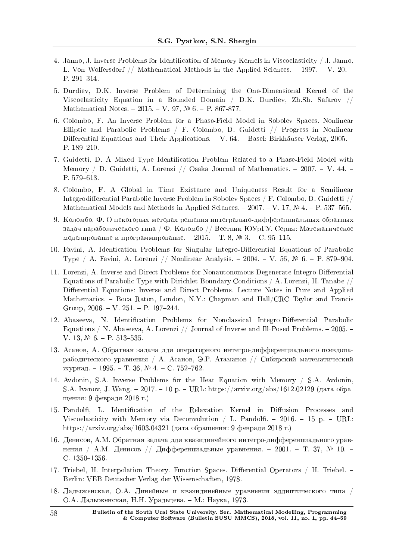- 4. Janno, J. Inverse Problems for Identification of Memory Kernels in Viscoelasticity / J. Janno, L. Von Wolfersdorf // Mathematical Methods in the Applied Sciences.  $-1997. -V. 20. -$ P. 291-314.
- 5. Durdiev, D.K. Inverse Problem of Determining the One-Dimensional Kernel of the Viscoelasticity Equation in a Bounded Domain / D.K. Durdiev, Zh.Sh. Safarov // Mathematical Notes.  $-2015. - V. 97$ ,  $\mathbb{N}$  6.  $-$  P. 867-877.
- 6. Colombo, F. An Inverse Problem for a Phase-Field Model in Sobolev Spaces. Nonlinear Elliptic and Parabolic Problems / F. Colombo, D. Guidetti // Progress in Nonlinear Differential Equations and Their Applications. - V. 64. - Basel: Birkhäuser Verlag, 2005. -P.  $189-210$ .
- 7. Guidetti, D. A Mixed Type Identification Problem Related to a Phase-Field Model with Memory / D. Guidetti, A. Lorenzi // Osaka Journal of Mathematics. - 2007. - V. 44. -P. 579-613.
- 8. Colombo, F. A Global in Time Existence and Uniqueness Result for a Semilinear Integrodifferential Parabolic Inverse Problem in Sobolev Spaces  $/F$ . Colombo, D. Guidetti  $//$ Mathematical Models and Methods in Applied Sciences.  $-2007. -V.$  17,  $\mathbb{N}^2$  4.  $-$  P. 537–565.
- 9. Коломбо, Ф. О некоторых методах решения интегрально-дифференциальных обратных задач параболического типа / Ф. Коломбо // Вестник ЮУрГУ. Серия: Математическое моделирование и программирование. - 2015. - Т. 8, № 3. - С. 95-115.
- 10. Favini, A. Identication Problems for Singular Integro-Differential Equations of Parabolic Type / A. Favini, A. Lorenzi // Nonlinear Analysis.  $-2004. -V. 56$ ,  $\mathbb{N}^2$  6.  $-$  P. 879-904.
- 11. Lorenzi, A. Inverse and Direct Problems for Nonautonomous Degenerate Integro-Differential Equations of Parabolic Type with Dirichlet Boundary Conditions / A. Lorenzi, H. Tanabe // Differential Equations: Inverse and Direct Problems. Lecture Notes in Pure and Applied Mathematics. – Boca Raton, London, N.Y.: Chapman and Hall/CRC Taylor and Francis Group,  $2006 - V$ .  $251 - P$ . 197-244.
- 12. Abaseeva, N. Identification Problems for Nonclassical Integro-Differential Parabolic Equations / N. Abaseeva, A. Lorenzi // Journal of Inverse and Ill-Posed Problems.  $-2005$ . V. 13,  $\mathbb{N}$  6. - P. 513-535.
- 13. Асанов, А. Обратная задача для операторного интегро-дифференциального псевдопараболического уравнения / А. Асанов, Э.Р. Атаманов // Сибирский математический журнал. - 1995. - Т. 36, № 4. - С. 752-762.
- 14. Avdonin, S.A. Inverse Problems for the Heat Equation with Memory / S.A. Avdonin, S.A. Ivanov, J. Wang. – 2017. – 10 p. – URL: https://arxiv.org/abs/1612.02129 (дата обращения: 9 февраля 2018 г.)
- 15. Pandolfi, L. Identification of the Relaxation Kernel in Diffusion Processes and Viscoelasticity with Memory via Deconvolution / L. Pandolfi.  $-2016$ .  $-15$  p.  $-$  URL: https://arxiv.org/abs/1603.04321 (дата обращения: 9 февраля 2018 г.)
- 16. Денисов, А.М. Обратная задача для квазилинейного интегро-дифференциального уравнения / А.М. Денисов // Дифференциальные уравнения. - 2001. - Т. 37, № 10. - $C. 1350 - 1356.$
- 17. Triebel, H. Interpolation Theory. Function Spaces. Differential Operators / H. Triebel. -Berlin: VEB Deutscher Verlag der Wissenschaften, 1978.
- 18. Ладыженская, О.А. Линейные и квазилинейные уравнения эллиптического типа / О.А. Ладыженская, Н.Н. Уральцева. – М.: Наука, 1973.